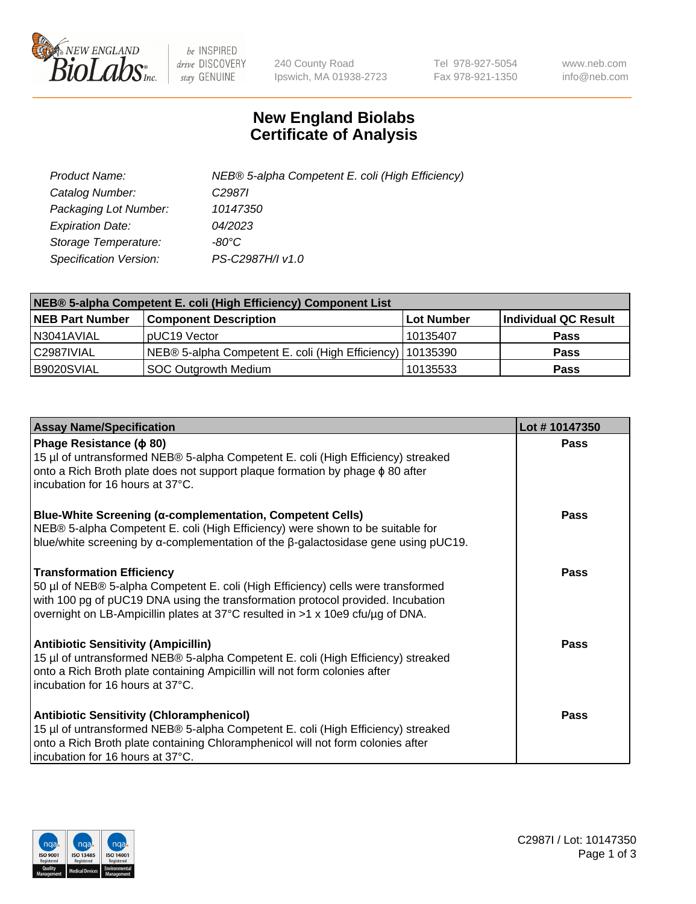

 $be$  INSPIRED drive DISCOVERY stay GENUINE

240 County Road Ipswich, MA 01938-2723 Tel 978-927-5054 Fax 978-921-1350 www.neb.com info@neb.com

## **New England Biolabs Certificate of Analysis**

| Product Name:           | NEB® 5-alpha Competent E. coli (High Efficiency) |
|-------------------------|--------------------------------------------------|
| Catalog Number:         | C <sub>2987</sub>                                |
| Packaging Lot Number:   | 10147350                                         |
| <b>Expiration Date:</b> | 04/2023                                          |
| Storage Temperature:    | -80°C                                            |
| Specification Version:  | PS-C2987H/I v1.0                                 |

| NEB® 5-alpha Competent E. coli (High Efficiency) Component List |                                                             |            |                      |  |
|-----------------------------------------------------------------|-------------------------------------------------------------|------------|----------------------|--|
| <b>NEB Part Number</b>                                          | <b>Component Description</b>                                | Lot Number | Individual QC Result |  |
| N3041AVIAL                                                      | pUC19 Vector                                                | 10135407   | <b>Pass</b>          |  |
| C2987IVIAL                                                      | NEB® 5-alpha Competent E. coli (High Efficiency)   10135390 |            | <b>Pass</b>          |  |
| B9020SVIAL                                                      | <b>SOC Outgrowth Medium</b>                                 | 10135533   | <b>Pass</b>          |  |

| <b>Assay Name/Specification</b>                                                                                                                                                                                                                                                           | Lot #10147350 |
|-------------------------------------------------------------------------------------------------------------------------------------------------------------------------------------------------------------------------------------------------------------------------------------------|---------------|
| Phage Resistance ( $\phi$ 80)<br>15 µl of untransformed NEB® 5-alpha Competent E. coli (High Efficiency) streaked<br>onto a Rich Broth plate does not support plaque formation by phage φ 80 after<br>incubation for 16 hours at 37°C.                                                    | <b>Pass</b>   |
| <b>Blue-White Screening (α-complementation, Competent Cells)</b><br>NEB® 5-alpha Competent E. coli (High Efficiency) were shown to be suitable for<br>blue/white screening by $\alpha$ -complementation of the $\beta$ -galactosidase gene using pUC19.                                   | Pass          |
| <b>Transformation Efficiency</b><br>50 µl of NEB® 5-alpha Competent E. coli (High Efficiency) cells were transformed<br>with 100 pg of pUC19 DNA using the transformation protocol provided. Incubation<br>overnight on LB-Ampicillin plates at 37°C resulted in >1 x 10e9 cfu/µg of DNA. | Pass          |
| <b>Antibiotic Sensitivity (Ampicillin)</b><br>15 µl of untransformed NEB® 5-alpha Competent E. coli (High Efficiency) streaked<br>onto a Rich Broth plate containing Ampicillin will not form colonies after<br>incubation for 16 hours at 37°C.                                          | <b>Pass</b>   |
| <b>Antibiotic Sensitivity (Chloramphenicol)</b><br>15 µl of untransformed NEB® 5-alpha Competent E. coli (High Efficiency) streaked<br>onto a Rich Broth plate containing Chloramphenicol will not form colonies after<br>incubation for 16 hours at 37°C.                                | Pass          |

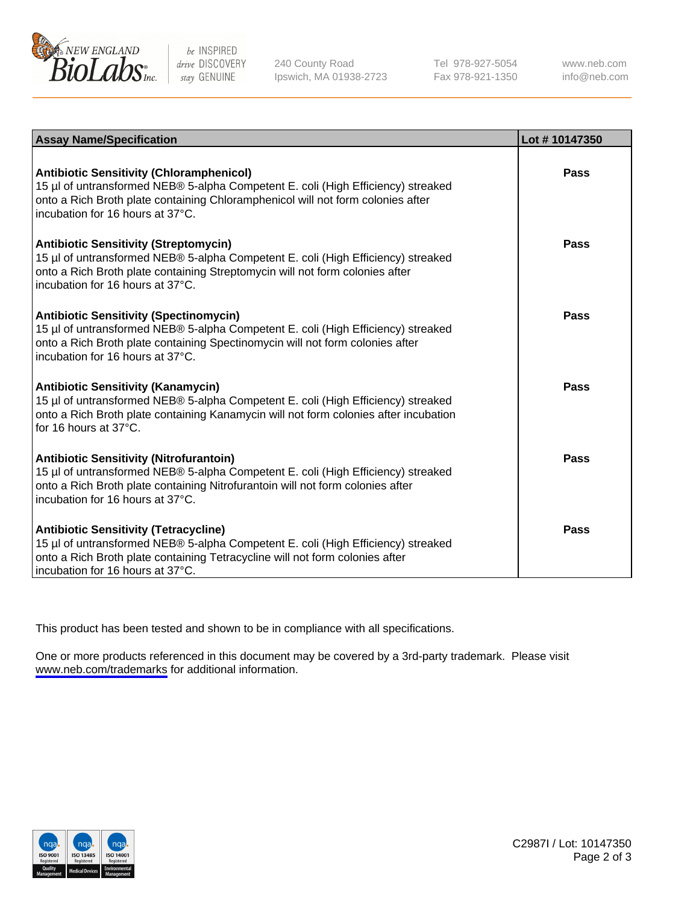

be INSPIRED drive DISCOVERY stay GENUINE

240 County Road Ipswich, MA 01938-2723 Tel 978-927-5054 Fax 978-921-1350

www.neb.com info@neb.com

| <b>Assay Name/Specification</b>                                                                                                                                                                                                                            | Lot #10147350 |
|------------------------------------------------------------------------------------------------------------------------------------------------------------------------------------------------------------------------------------------------------------|---------------|
| <b>Antibiotic Sensitivity (Chloramphenicol)</b><br>15 µl of untransformed NEB® 5-alpha Competent E. coli (High Efficiency) streaked<br>onto a Rich Broth plate containing Chloramphenicol will not form colonies after<br>incubation for 16 hours at 37°C. | Pass          |
| <b>Antibiotic Sensitivity (Streptomycin)</b><br>15 µl of untransformed NEB® 5-alpha Competent E. coli (High Efficiency) streaked<br>onto a Rich Broth plate containing Streptomycin will not form colonies after<br>incubation for 16 hours at 37°C.       | Pass          |
| <b>Antibiotic Sensitivity (Spectinomycin)</b><br>15 µl of untransformed NEB® 5-alpha Competent E. coli (High Efficiency) streaked<br>onto a Rich Broth plate containing Spectinomycin will not form colonies after<br>incubation for 16 hours at 37°C.     | Pass          |
| <b>Antibiotic Sensitivity (Kanamycin)</b><br>15 µl of untransformed NEB® 5-alpha Competent E. coli (High Efficiency) streaked<br>onto a Rich Broth plate containing Kanamycin will not form colonies after incubation<br>for 16 hours at 37°C.             | <b>Pass</b>   |
| <b>Antibiotic Sensitivity (Nitrofurantoin)</b><br>15 µl of untransformed NEB® 5-alpha Competent E. coli (High Efficiency) streaked<br>onto a Rich Broth plate containing Nitrofurantoin will not form colonies after<br>incubation for 16 hours at 37°C.   | Pass          |
| <b>Antibiotic Sensitivity (Tetracycline)</b><br>15 µl of untransformed NEB® 5-alpha Competent E. coli (High Efficiency) streaked<br>onto a Rich Broth plate containing Tetracycline will not form colonies after<br>incubation for 16 hours at 37°C.       | Pass          |

This product has been tested and shown to be in compliance with all specifications.

One or more products referenced in this document may be covered by a 3rd-party trademark. Please visit <www.neb.com/trademarks>for additional information.